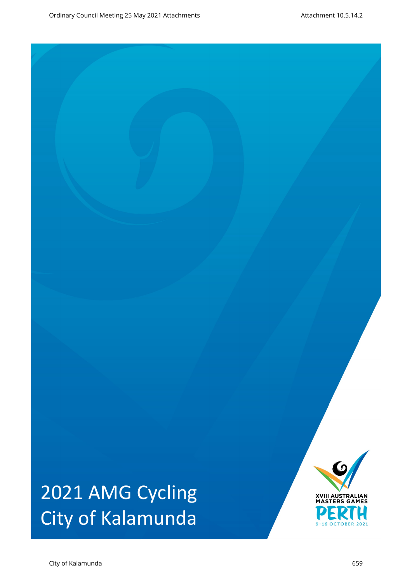# 2021 AMG Cycling City of Kalamunda

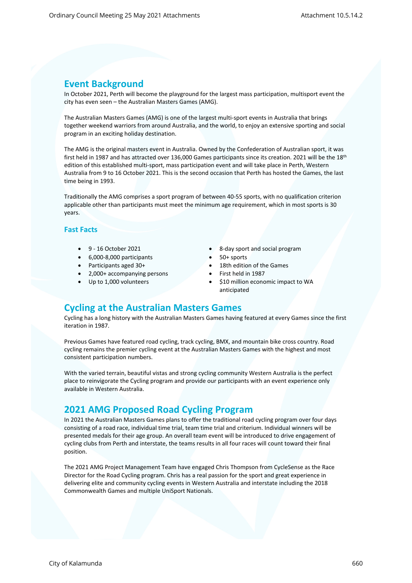# **Event Background**

In October 2021, Perth will become the playground for the largest mass participation, multisport event the city has even seen – the Australian Masters Games (AMG).

The Australian Masters Games (AMG) is one of the largest multi-sport events in Australia that brings together weekend warriors from around Australia, and the world, to enjoy an extensive sporting and social program in an exciting holiday destination.

The AMG is the original masters event in Australia. Owned by the Confederation of Australian sport, it was first held in 1987 and has attracted over 136,000 Games participants since its creation. 2021 will be the 18<sup>th</sup> edition of this established multi-sport, mass participation event and will take place in Perth, Western Australia from 9 to 16 October 2021. This is the second occasion that Perth has hosted the Games, the last time being in 1993.

Traditionally the AMG comprises a sport program of between 40-55 sports, with no qualification criterion applicable other than participants must meet the minimum age requirement, which in most sports is 30 years.

#### **Fast Facts**

- 
- 6,000-8,000 participants 50+ sports
- Participants aged 30+ **18th edition of the Games**
- 2,000+ accompanying persons First held in 1987
- 
- 9 16 October 2021 **8 8-day sport and social program** 
	-
	-
	-
	- Up to 1,000 volunteers **\$10 million economic impact to WA** anticipated

# **Cycling at the Australian Masters Games**

Cycling has a long history with the Australian Masters Games having featured at every Games since the first iteration in 1987.

Previous Games have featured road cycling, track cycling, BMX, and mountain bike cross country. Road cycling remains the premier cycling event at the Australian Masters Games with the highest and most consistent participation numbers.

With the varied terrain, beautiful vistas and strong cycling community Western Australia is the perfect place to reinvigorate the Cycling program and provide our participants with an event experience only available in Western Australia.

# **2021 AMG Proposed Road Cycling Program**

In 2021 the Australian Masters Games plans to offer the traditional road cycling program over four days consisting of a road race, individual time trial, team time trial and criterium. Individual winners will be presented medals for their age group. An overall team event will be introduced to drive engagement of cycling clubs from Perth and interstate, the teams results in all four races will count toward their final position.

The 2021 AMG Project Management Team have engaged Chris Thompson from CycleSense as the Race Director for the Road Cycling program. Chris has a real passion for the sport and great experience in delivering elite and community cycling events in Western Australia and interstate including the 2018 Commonwealth Games and multiple UniSport Nationals.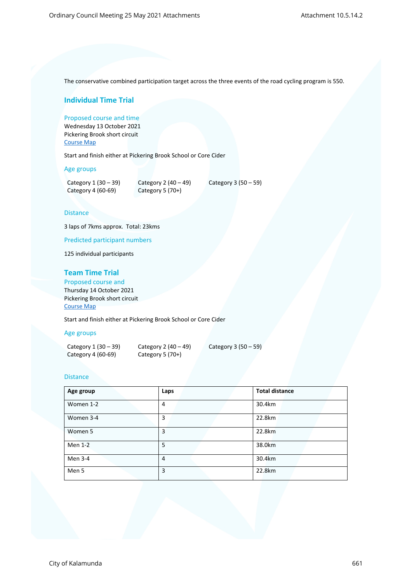The conservative combined participation target across the three events of the road cycling program is 550.

# **Individual Time Trial**

Proposed course and time Wednesday 13 October 2021 Pickering Brook short circuit [Course Map](https://www.mapmyride.com/routes/view/3568320202)

Start and finish either at Pickering Brook School or Core Cider

Age groups

| Category $1(30-39)$ | Category 2 $(40 - 49)$ | Category $3(50-59)$ |  |
|---------------------|------------------------|---------------------|--|
| Category 4 (60-69)  | Category 5 $(70+)$     |                     |  |

#### **Distance**

3 laps of 7kms approx. Total: 23kms

Predicted participant numbers

125 individual participants

# **Team Time Trial**

Proposed course and Thursday 14 October 2021 Pickering Brook short circuit [Course Map](https://www.mapmyride.com/routes/view/3568320202)

Start and finish either at Pickering Brook School or Core Cider

#### Age groups

| Category $1(30-39)$ | Category 2 $(40 - 49)$ | Category $3(50-59)$ |
|---------------------|------------------------|---------------------|
| Category 4 (60-69)  | Category 5 $(70+)$     |                     |

#### **Distance**

| Age group | Laps | <b>Total distance</b> |
|-----------|------|-----------------------|
| Women 1-2 | 4    | 30.4km                |
| Women 3-4 | 3    | 22.8km                |
| Women 5   | 3    | 22.8km                |
| Men 1-2   | 5    | 38.0km                |
| Men 3-4   | 4    | 30.4km                |
| Men 5     | 3    | 22.8km                |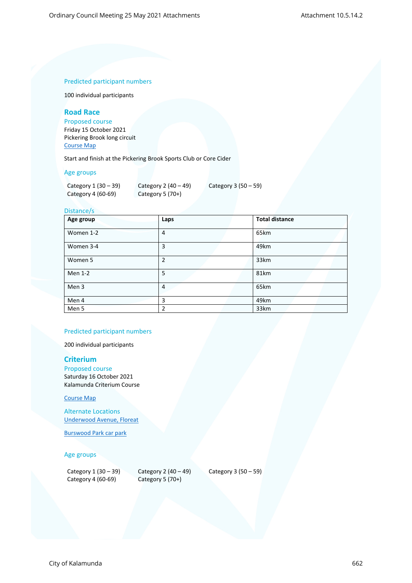## Predicted participant numbers

100 individual participants

# **Road Race**

Proposed course

Friday 15 October 2021 Pickering Brook long circuit [Course Map](https://www.mapmyride.com/routes/view/3568311949)

Start and finish at the Pickering Brook Sports Club or Core Cider

#### Age groups

| Category $1(30-39)$ | Category 2 $(40 - 49)$ | Category 3 $(50-59)$ |
|---------------------|------------------------|----------------------|
| Category 4 (60-69)  | Category 5 $(70+)$     |                      |

## Distance/s

| Age group | Laps           | <b>Total distance</b> |
|-----------|----------------|-----------------------|
| Women 1-2 | $\overline{4}$ | 65km                  |
| Women 3-4 | 3              | 49km                  |
| Women 5   | $\overline{2}$ | 33km                  |
| Men 1-2   | 5              | 81km                  |
| Men 3     | 4              | 65km                  |
| Men 4     | 3              | 49km                  |
| Men 5     | 2              | 33km                  |

# Predicted participant numbers

200 individual participants

#### **Criterium**

Proposed course Saturday 16 October 2021 Kalamunda Criterium Course

#### [Course Map](https://www.mapmyride.com/routes/view/3750822373)

Alternate Locations [Underwood Avenue, Floreat](https://www.mapmyride.com/routes/view/2759291650)

[Burswood Park car park](https://www.mapmyride.com/routes/view/3722006317)

#### Age groups

| Category 1 (30 - 39) |  |  |
|----------------------|--|--|
| Category 4 (60-69)   |  |  |

Category 2 (40 – 49) Category 3 (50 – 59) Category 5  $(70+)$